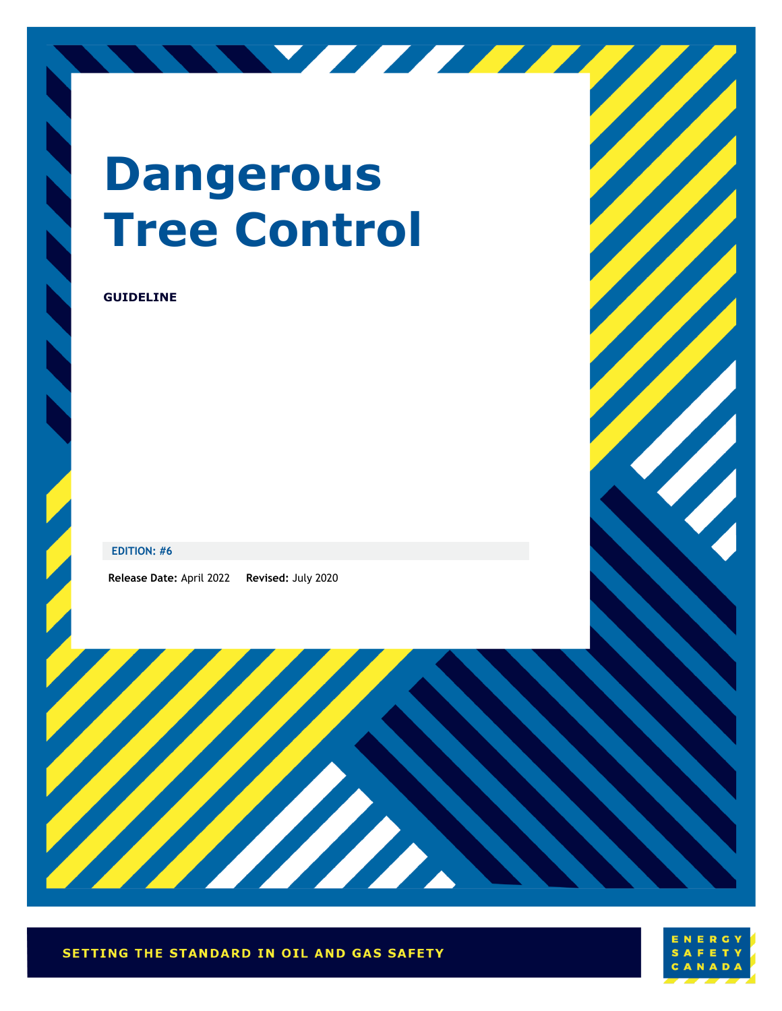# **Dangerous Tree Control**

NY TITLE

### **GUIDELINE**

### **EDITION: #6**

**Release Date:** April 2022 **Revised:** July 2020



Harry Bally

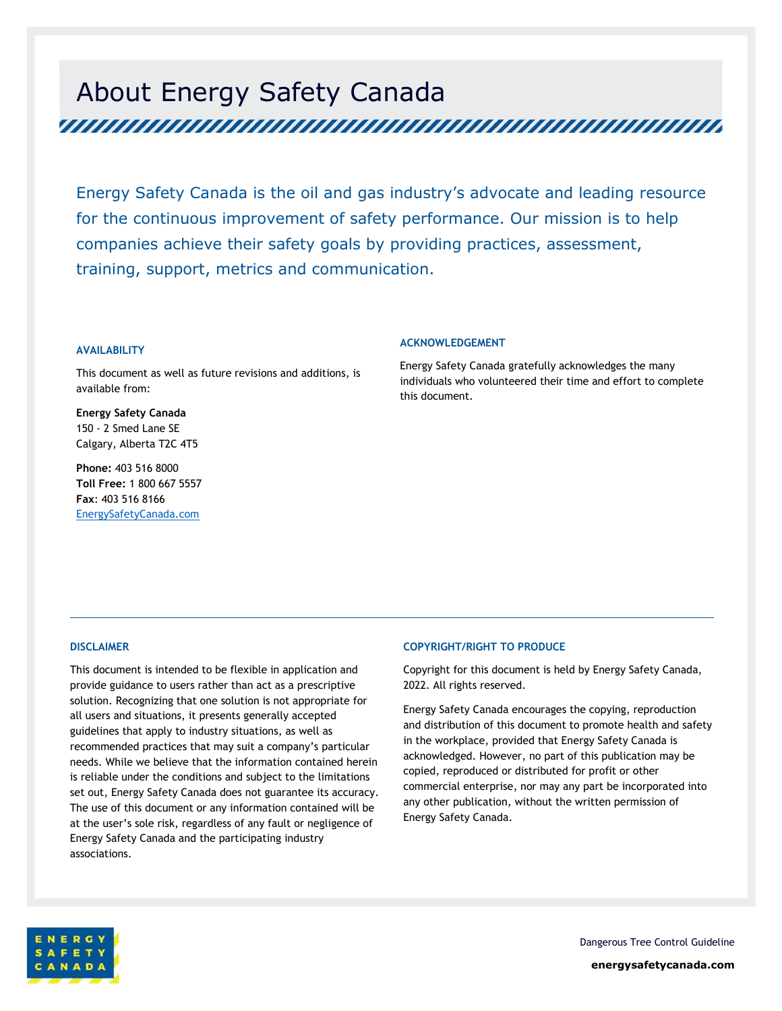# About Energy Safety Canada

Energy Safety Canada is the oil and gas industry's advocate and leading resource for the continuous improvement of safety performance. Our mission is to help companies achieve their safety goals by providing practices, assessment, training, support, metrics and communication.

### **AVAILABILITY**

This document as well as future revisions and additions, is available from:

**Energy Safety Canada** 150 - 2 Smed Lane SE Calgary, Alberta T2C 4T5

**Phone:** 403 516 8000 **Toll Free:** 1 800 667 5557 **Fax**: 403 516 8166 EnergySafetyCanada.com

### **ACKNOWLEDGEMENT**

Energy Safety Canada gratefully acknowledges the many individuals who volunteered their time and effort to complete this document.

#### **DISCLAIMER**

This document is intended to be flexible in application and provide guidance to users rather than act as a prescriptive solution. Recognizing that one solution is not appropriate for all users and situations, it presents generally accepted guidelines that apply to industry situations, as well as recommended practices that may suit a company's particular needs. While we believe that the information contained herein is reliable under the conditions and subject to the limitations set out, Energy Safety Canada does not guarantee its accuracy. The use of this document or any information contained will be at the user's sole risk, regardless of any fault or negligence of Energy Safety Canada and the participating industry associations.

#### **COPYRIGHT/RIGHT TO PRODUCE**

Copyright for this document is held by Energy Safety Canada, 2022. All rights reserved.

Energy Safety Canada encourages the copying, reproduction and distribution of this document to promote health and safety in the workplace, provided that Energy Safety Canada is acknowledged. However, no part of this publication may be copied, reproduced or distributed for profit or other commercial enterprise, nor may any part be incorporated into any other publication, without the written permission of Energy Safety Canada.



Dangerous Tree Control Guideline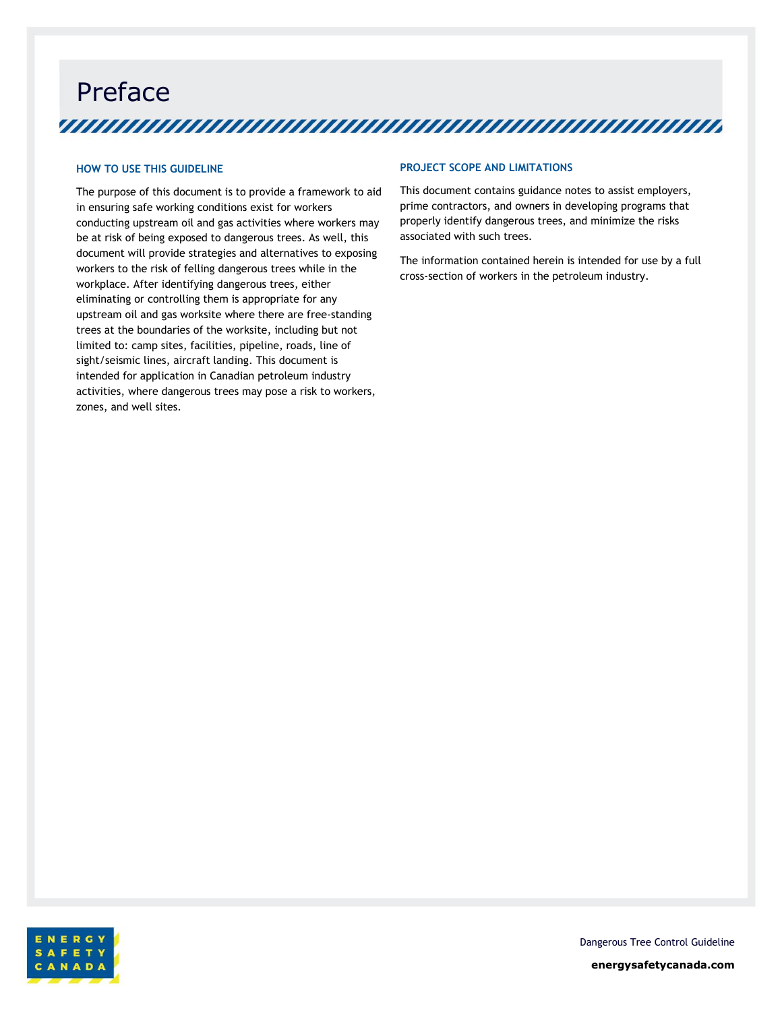Preface 

### **HOW TO USE THIS GUIDELINE**

The purpose of this document is to provide a framework to aid in ensuring safe working conditions exist for workers conducting upstream oil and gas activities where workers may be at risk of being exposed to dangerous trees. As well, this document will provide strategies and alternatives to exposing workers to the risk of felling dangerous trees while in the workplace. After identifying dangerous trees, either eliminating or controlling them is appropriate for any upstream oil and gas worksite where there are free-standing trees at the boundaries of the worksite, including but not limited to: camp sites, facilities, pipeline, roads, line of sight/seismic lines, aircraft landing. This document is intended for application in Canadian petroleum industry activities, where dangerous trees may pose a risk to workers, zones, and well sites.

### **PROJECT SCOPE AND LIMITATIONS**

This document contains guidance notes to assist employers, prime contractors, and owners in developing programs that properly identify dangerous trees, and minimize the risks associated with such trees.

The information contained herein is intended for use by a full cross-section of workers in the petroleum industry.



Dangerous Tree Control Guideline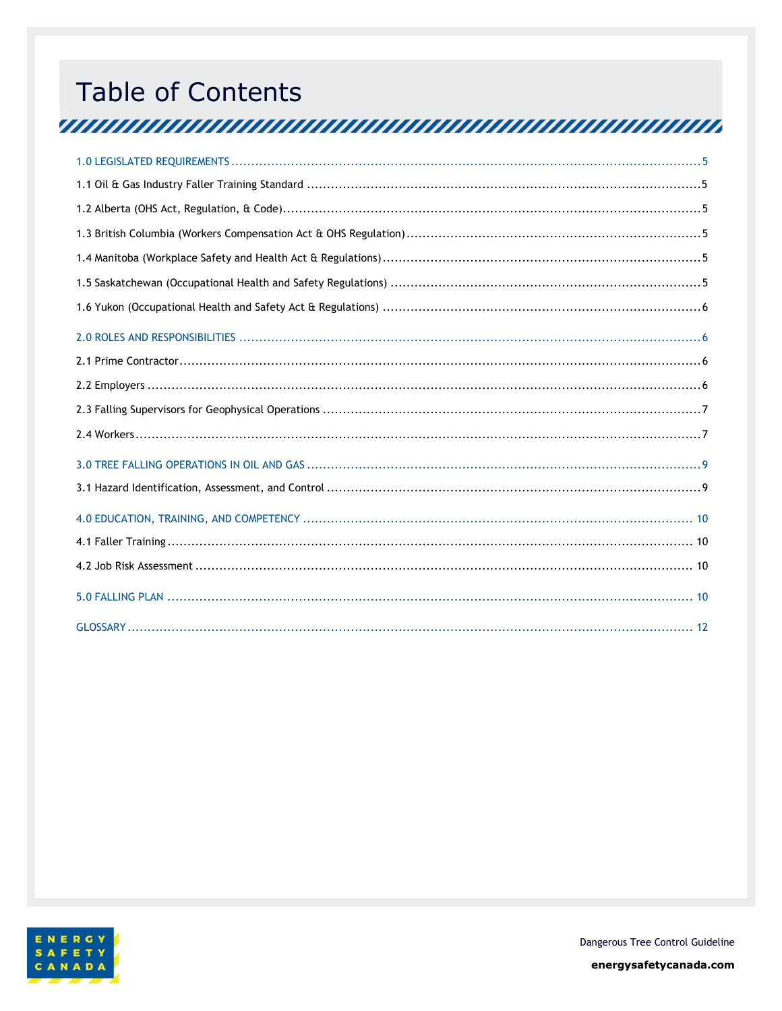# **Table of Contents** <u>TERRITAN INITIA INITIA INITIA INITIA INITIA INITIA INITIA INITIA INITIA INITIA INITIA INITIA INITIA INITIA IN</u>

<span id="page-3-0"></span>

Dangerous Tree Control Guideline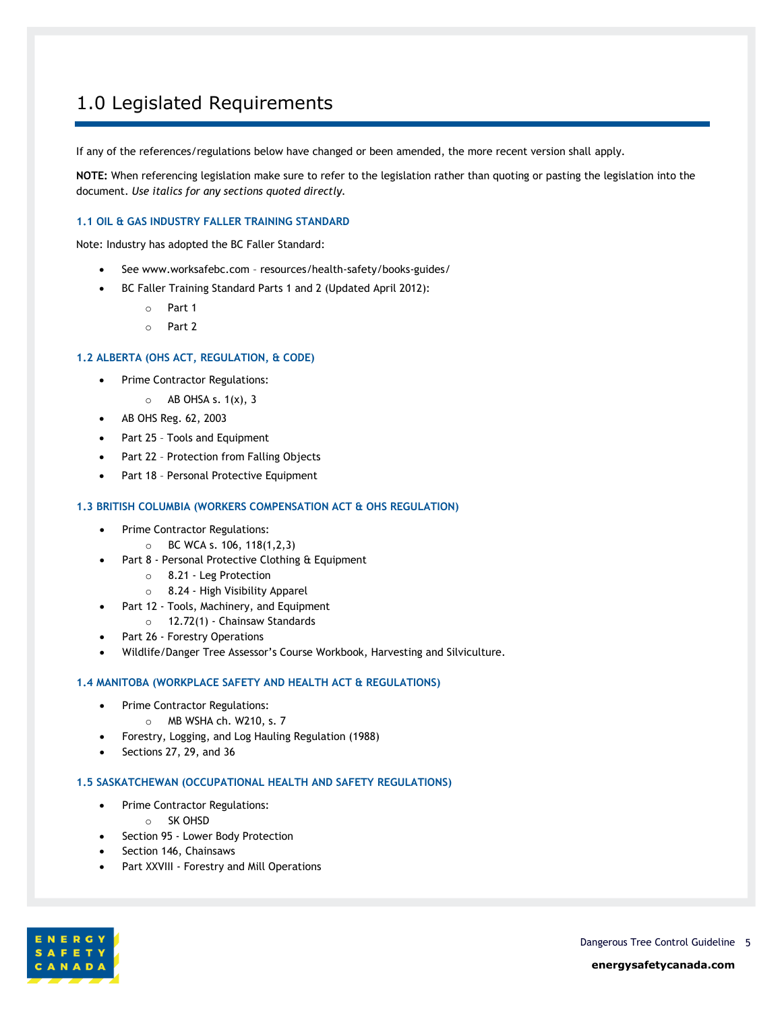### 1.0 Legislated Requirements

If any of the references/regulations below have changed or been amended, the more recent version shall apply.

**NOTE:** When referencing legislation make sure to refer to the legislation rather than quoting or pasting the legislation into the document. *Use italics for any sections quoted directly.*

### <span id="page-4-0"></span>**1.1 OIL & GAS INDUSTRY FALLER TRAINING STANDARD**

Note: Industry has adopted the BC Faller Standard:

- See www.worksafebc.com resources/health-safety/books-guides/
- BC Faller Training Standard Parts 1 and 2 (Updated April 2012):
	- o Part 1
	- o Part 2

### <span id="page-4-1"></span>**1.2 ALBERTA (OHS ACT, REGULATION, & CODE)**

- Prime Contractor Regulations:
	- $\circ$  AB OHSA s. 1(x), 3
- AB OHS Reg. 62, 2003
- Part 25 Tools and Equipment
- Part 22 Protection from Falling Objects
- Part 18 Personal Protective Equipment

### <span id="page-4-2"></span>**1.3 BRITISH COLUMBIA (WORKERS COMPENSATION ACT & OHS REGULATION)**

- Prime Contractor Regulations:
	- $\circ$  BC WCA s. 106, 118(1,2,3)
- Part 8 Personal Protective Clothing & Equipment
	- o 8.21 Leg Protection
	- o 8.24 High Visibility Apparel
	- Part 12 Tools, Machinery, and Equipment
		- o 12.72(1) Chainsaw Standards
- Part 26 Forestry Operations
- Wildlife/Danger Tree Assessor's Course Workbook, Harvesting and Silviculture.

#### <span id="page-4-3"></span>**1.4 MANITOBA (WORKPLACE SAFETY AND HEALTH ACT & REGULATIONS)**

- Prime Contractor Regulations:
	- o MB WSHA ch. W210, s. 7
- Forestry, Logging, and Log Hauling Regulation (1988)
- Sections 27, 29, and 36

#### <span id="page-4-4"></span>**1.5 SASKATCHEWAN (OCCUPATIONAL HEALTH AND SAFETY REGULATIONS)**

- Prime Contractor Regulations:
	- o SK OHSD
- Section 95 Lower Body Protection
- Section 146, Chainsaws
- Part XXVIII Forestry and Mill Operations

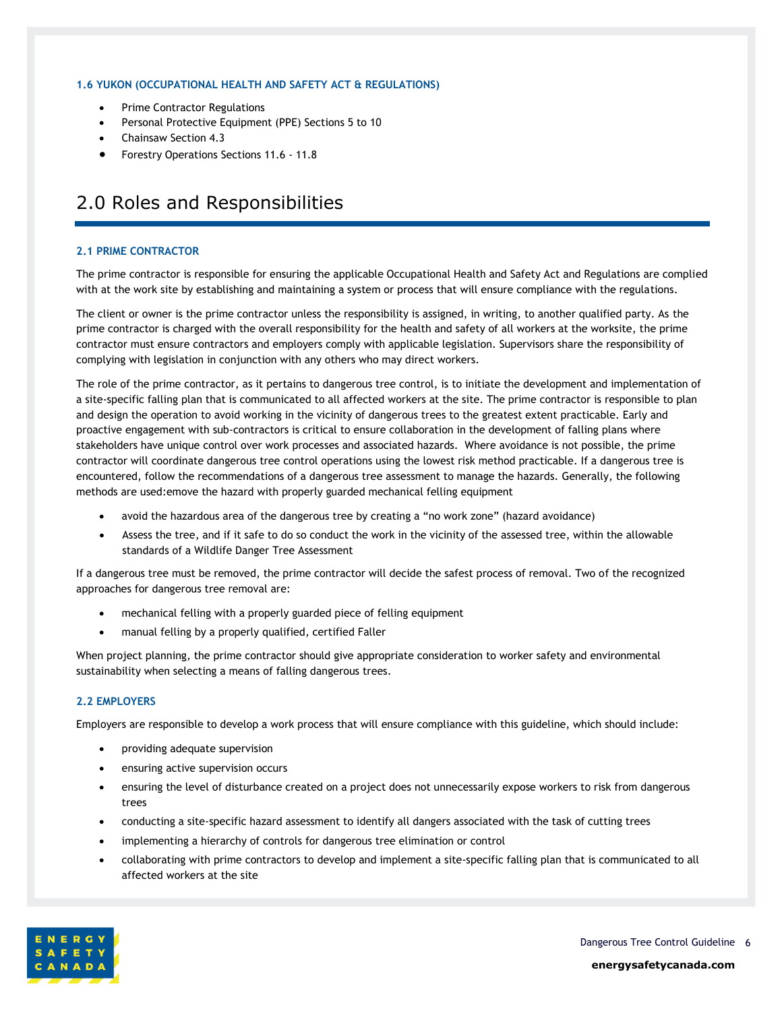### <span id="page-5-0"></span>**1.6 YUKON (OCCUPATIONAL HEALTH AND SAFETY ACT & REGULATIONS)**

- Prime Contractor Regulations
- Personal Protective Equipment (PPE) Sections 5 to 10
- Chainsaw Section 4.3
- Forestry Operations Sections 11.6 11.8

### <span id="page-5-1"></span>2.0 Roles and Responsibilities

### <span id="page-5-2"></span>**2.1 PRIME CONTRACTOR**

The prime contractor is responsible for ensuring the applicable Occupational Health and Safety Act and Regulations are complied with at the work site by establishing and maintaining a system or process that will ensure compliance with the regulations.

The client or owner is the prime contractor unless the responsibility is assigned, in writing, to another qualified party. As the prime contractor is charged with the overall responsibility for the health and safety of all workers at the worksite, the prime contractor must ensure contractors and employers comply with applicable legislation. Supervisors share the responsibility of complying with legislation in conjunction with any others who may direct workers.

The role of the prime contractor, as it pertains to dangerous tree control, is to initiate the development and implementation of a site-specific falling plan that is communicated to all affected workers at the site. The prime contractor is responsible to plan and design the operation to avoid working in the vicinity of dangerous trees to the greatest extent practicable. Early and proactive engagement with sub-contractors is critical to ensure collaboration in the development of falling plans where stakeholders have unique control over work processes and associated hazards. Where avoidance is not possible, the prime contractor will coordinate dangerous tree control operations using the lowest risk method practicable. If a dangerous tree is encountered, follow the recommendations of a dangerous tree assessment to manage the hazards. Generally, the following methods are used:emove the hazard with properly guarded mechanical felling equipment

- avoid the hazardous area of the dangerous tree by creating a "no work zone" (hazard avoidance)
- Assess the tree, and if it safe to do so conduct the work in the vicinity of the assessed tree, within the allowable standards of a Wildlife Danger Tree Assessment

If a dangerous tree must be removed, the prime contractor will decide the safest process of removal. Two of the recognized approaches for dangerous tree removal are:

- mechanical felling with a properly guarded piece of felling equipment
- manual felling by a properly qualified, certified Faller

When project planning, the prime contractor should give appropriate consideration to worker safety and environmental sustainability when selecting a means of falling dangerous trees.

### <span id="page-5-3"></span>**2.2 EMPLOYERS**

Employers are responsible to develop a work process that will ensure compliance with this guideline, which should include:

- providing adequate supervision
- ensuring active supervision occurs
- ensuring the level of disturbance created on a project does not unnecessarily expose workers to risk from dangerous trees
- conducting a site-specific hazard assessment to identify all dangers associated with the task of cutting trees
- implementing a hierarchy of controls for dangerous tree elimination or control
- collaborating with prime contractors to develop and implement a site-specific falling plan that is communicated to all affected workers at the site

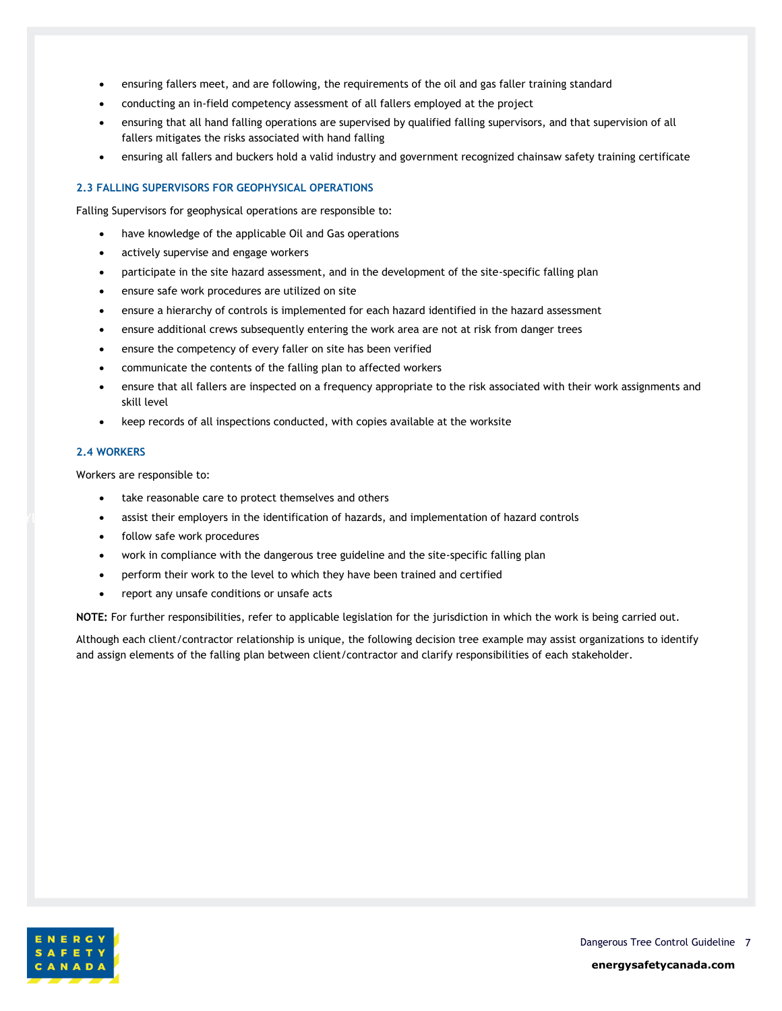- ensuring fallers meet, and are following, the requirements of the oil and gas faller training standard
- conducting an in-field competency assessment of all fallers employed at the project
- ensuring that all hand falling operations are supervised by qualified falling supervisors, and that supervision of all fallers mitigates the risks associated with hand falling
- ensuring all fallers and buckers hold a valid industry and government recognized chainsaw safety training certificate

### <span id="page-6-0"></span>**2.3 FALLING SUPERVISORS FOR GEOPHYSICAL OPERATIONS**

Falling Supervisors for geophysical operations are responsible to:

- have knowledge of the applicable Oil and Gas operations
- actively supervise and engage workers
- participate in the site hazard assessment, and in the development of the site-specific falling plan
- ensure safe work procedures are utilized on site
- ensure a hierarchy of controls is implemented for each hazard identified in the hazard assessment
- ensure additional crews subsequently entering the work area are not at risk from danger trees
- ensure the competency of every faller on site has been verified
- communicate the contents of the falling plan to affected workers
- ensure that all fallers are inspected on a frequency appropriate to the risk associated with their work assignments and skill level
- keep records of all inspections conducted, with copies available at the worksite

#### <span id="page-6-1"></span>**2.4 WORKERS**

Workers are responsible to:

- take reasonable care to protect themselves and others
- assist their employers in the identification of hazards, and implementation of hazard controls
- follow safe work procedures
- work in compliance with the dangerous tree guideline and the site-specific falling plan
- perform their work to the level to which they have been trained and certified
- report any unsafe conditions or unsafe acts

**NOTE:** For further responsibilities, refer to applicable legislation for the jurisdiction in which the work is being carried out.

Although each client/contractor relationship is unique, the following decision tree example may assist organizations to identify and assign elements of the falling plan between client/contractor and clarify responsibilities of each stakeholder.

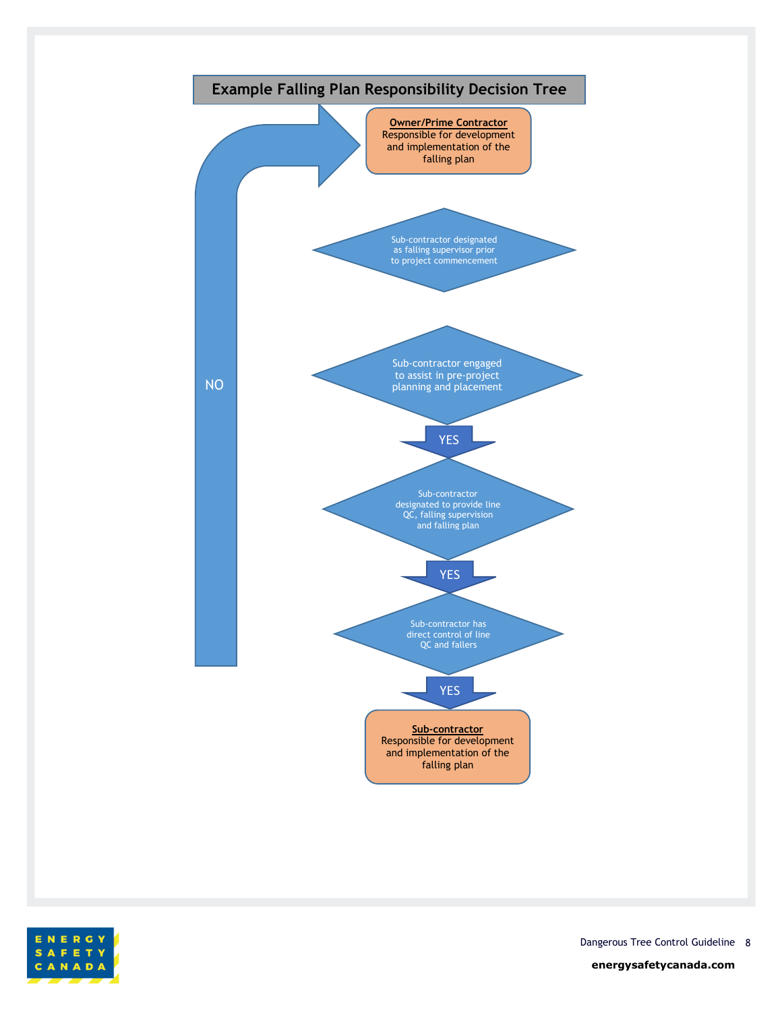



Dangerous Tree Control Guideline 8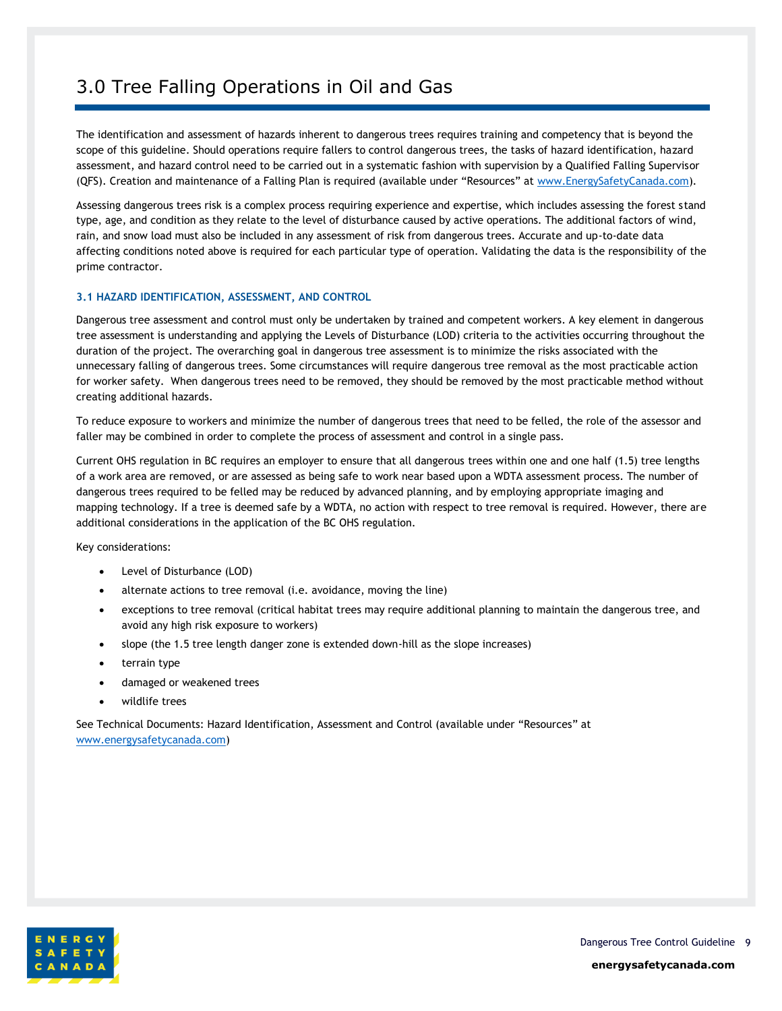### <span id="page-8-0"></span>3.0 Tree Falling Operations in Oil and Gas

The identification and assessment of hazards inherent to dangerous trees requires training and competency that is beyond the scope of this guideline. Should operations require fallers to control dangerous trees, the tasks of hazard identification, hazard assessment, and hazard control need to be carried out in a systematic fashion with supervision by a Qualified Falling Supervisor (QFS). Creation and maintenance of a Falling Plan is required (available under "Resources" at [www.EnergySafetyCanada.com\)](http://www.energysafetycanada.com/).

Assessing dangerous trees risk is a complex process requiring experience and expertise, which includes assessing the forest stand type, age, and condition as they relate to the level of disturbance caused by active operations. The additional factors of wind, rain, and snow load must also be included in any assessment of risk from dangerous trees. Accurate and up-to-date data affecting conditions noted above is required for each particular type of operation. Validating the data is the responsibility of the prime contractor.

### <span id="page-8-1"></span>**3.1 HAZARD IDENTIFICATION, ASSESSMENT, AND CONTROL**

Dangerous tree assessment and control must only be undertaken by trained and competent workers. A key element in dangerous tree assessment is understanding and applying the Levels of Disturbance (LOD) criteria to the activities occurring throughout the duration of the project. The overarching goal in dangerous tree assessment is to minimize the risks associated with the unnecessary falling of dangerous trees. Some circumstances will require dangerous tree removal as the most practicable action for worker safety. When dangerous trees need to be removed, they should be removed by the most practicable method without creating additional hazards.

To reduce exposure to workers and minimize the number of dangerous trees that need to be felled, the role of the assessor and faller may be combined in order to complete the process of assessment and control in a single pass.

Current OHS regulation in BC requires an employer to ensure that all dangerous trees within one and one half (1.5) tree lengths of a work area are removed, or are assessed as being safe to work near based upon a WDTA assessment process. The number of dangerous trees required to be felled may be reduced by advanced planning, and by employing appropriate imaging and mapping technology. If a tree is deemed safe by a WDTA, no action with respect to tree removal is required. However, there are additional considerations in the application of the BC OHS regulation.

Key considerations:

- Level of Disturbance (LOD)
- alternate actions to tree removal (i.e. avoidance, moving the line)
- exceptions to tree removal (critical habitat trees may require additional planning to maintain the dangerous tree, and avoid any high risk exposure to workers)
- slope (the 1.5 tree length danger zone is extended down-hill as the slope increases)
- terrain type
- damaged or weakened trees
- wildlife trees

See Technical Documents: Hazard Identification, Assessment and Control (available under "Resources" at [www.energysafetycanada.com\)](http://www.energysafetycanada.com/)

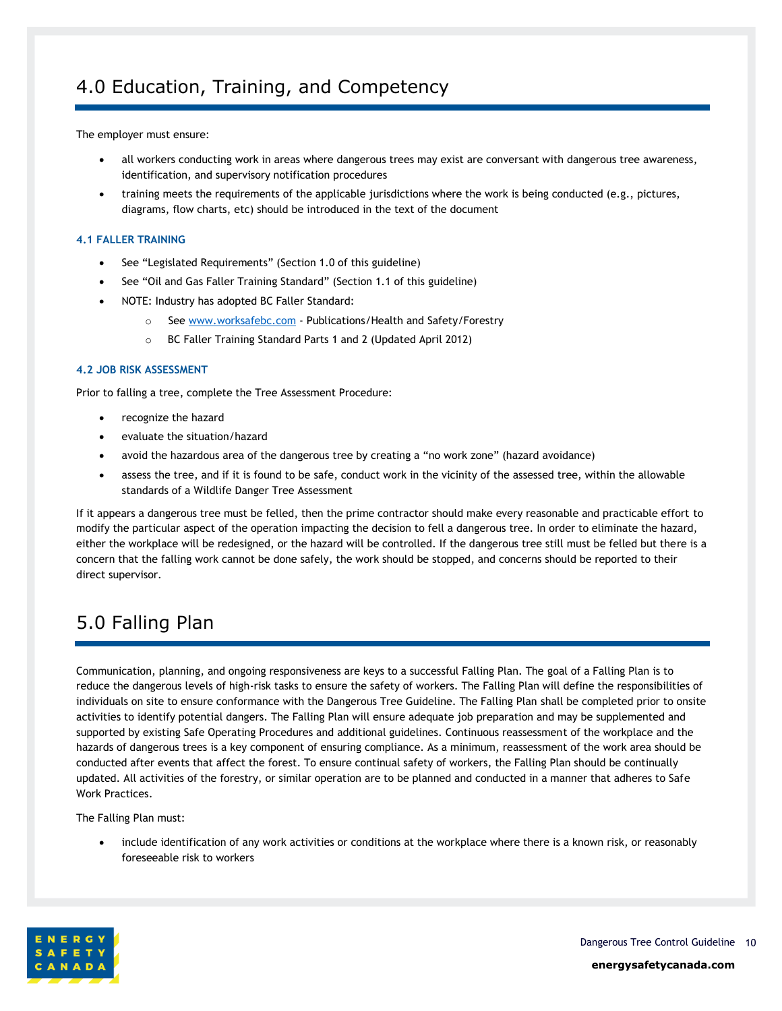### <span id="page-9-0"></span>4.0 Education, Training, and Competency

The employer must ensure:

- all workers conducting work in areas where dangerous trees may exist are conversant with dangerous tree awareness, identification, and supervisory notification procedures
- training meets the requirements of the applicable jurisdictions where the work is being conducted (e.g., pictures, diagrams, flow charts, etc) should be introduced in the text of the document

### <span id="page-9-1"></span>**4.1 FALLER TRAINING**

- See "Legislated Requirements" (Section 1.0 of this guideline)
- See "Oil and Gas Faller Training Standard" (Section 1.1 of this guideline)
- NOTE: Industry has adopted BC Faller Standard:
	- o Se[e www.worksafebc.com](http://www.worksafebc.com/) Publications/Health and Safety/Forestry
	- o BC Faller Training Standard Parts 1 and 2 (Updated April 2012)

### <span id="page-9-2"></span>**4.2 JOB RISK ASSESSMENT**

Prior to falling a tree, complete the Tree Assessment Procedure:

- recognize the hazard
- evaluate the situation/hazard
- avoid the hazardous area of the dangerous tree by creating a "no work zone" (hazard avoidance)
- assess the tree, and if it is found to be safe, conduct work in the vicinity of the assessed tree, within the allowable standards of a Wildlife Danger Tree Assessment

If it appears a dangerous tree must be felled, then the prime contractor should make every reasonable and practicable effort to modify the particular aspect of the operation impacting the decision to fell a dangerous tree. In order to eliminate the hazard, either the workplace will be redesigned, or the hazard will be controlled. If the dangerous tree still must be felled but there is a concern that the falling work cannot be done safely, the work should be stopped, and concerns should be reported to their direct supervisor.

### <span id="page-9-3"></span>5.0 Falling Plan

Communication, planning, and ongoing responsiveness are keys to a successful Falling Plan. The goal of a Falling Plan is to reduce the dangerous levels of high-risk tasks to ensure the safety of workers. The Falling Plan will define the responsibilities of individuals on site to ensure conformance with the Dangerous Tree Guideline. The Falling Plan shall be completed prior to onsite activities to identify potential dangers. The Falling Plan will ensure adequate job preparation and may be supplemented and supported by existing Safe Operating Procedures and additional guidelines. Continuous reassessment of the workplace and the hazards of dangerous trees is a key component of ensuring compliance. As a minimum, reassessment of the work area should be conducted after events that affect the forest. To ensure continual safety of workers, the Falling Plan should be continually updated. All activities of the forestry, or similar operation are to be planned and conducted in a manner that adheres to Safe Work Practices.

The Falling Plan must:

• include identification of any work activities or conditions at the workplace where there is a known risk, or reasonably foreseeable risk to workers

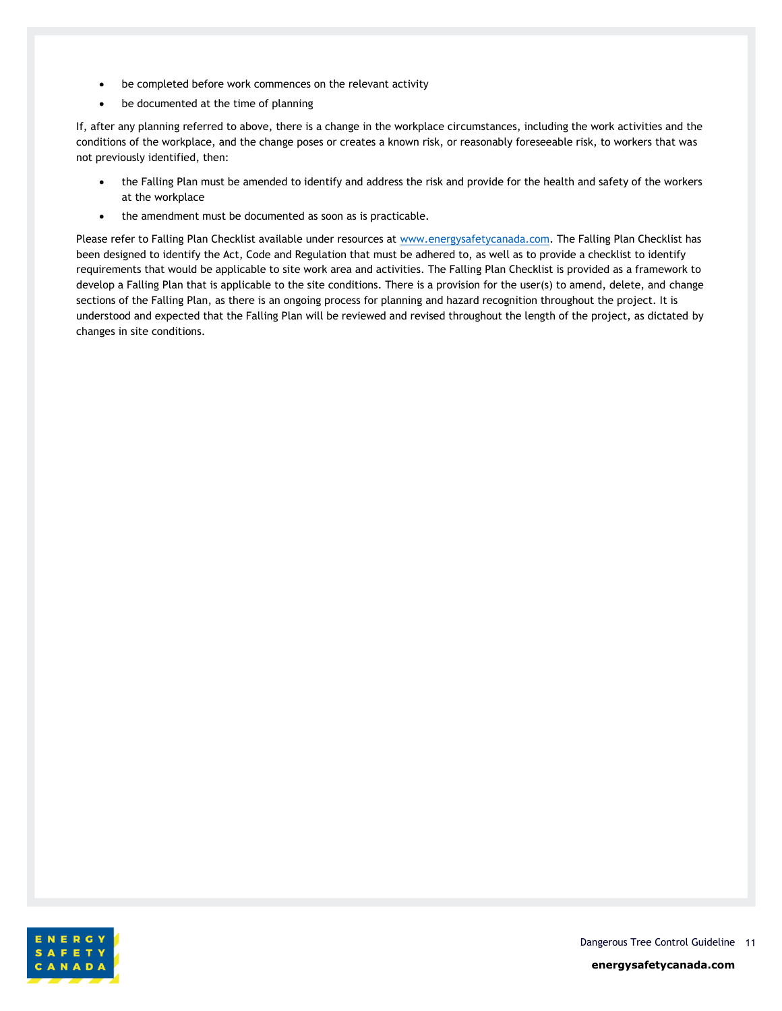- be completed before work commences on the relevant activity
- be documented at the time of planning

If, after any planning referred to above, there is a change in the workplace circumstances, including the work activities and the conditions of the workplace, and the change poses or creates a known risk, or reasonably foreseeable risk, to workers that was not previously identified, then:

- the Falling Plan must be amended to identify and address the risk and provide for the health and safety of the workers at the workplace
- the amendment must be documented as soon as is practicable.

Please refer to Falling Plan Checklist available under resources at [www.energysafetycanada.com.](http://www.energysafetycanada.com/) The Falling Plan Checklist has been designed to identify the Act, Code and Regulation that must be adhered to, as well as to provide a checklist to identify requirements that would be applicable to site work area and activities. The Falling Plan Checklist is provided as a framework to develop a Falling Plan that is applicable to the site conditions. There is a provision for the user(s) to amend, delete, and change sections of the Falling Plan, as there is an ongoing process for planning and hazard recognition throughout the project. It is understood and expected that the Falling Plan will be reviewed and revised throughout the length of the project, as dictated by changes in site conditions.

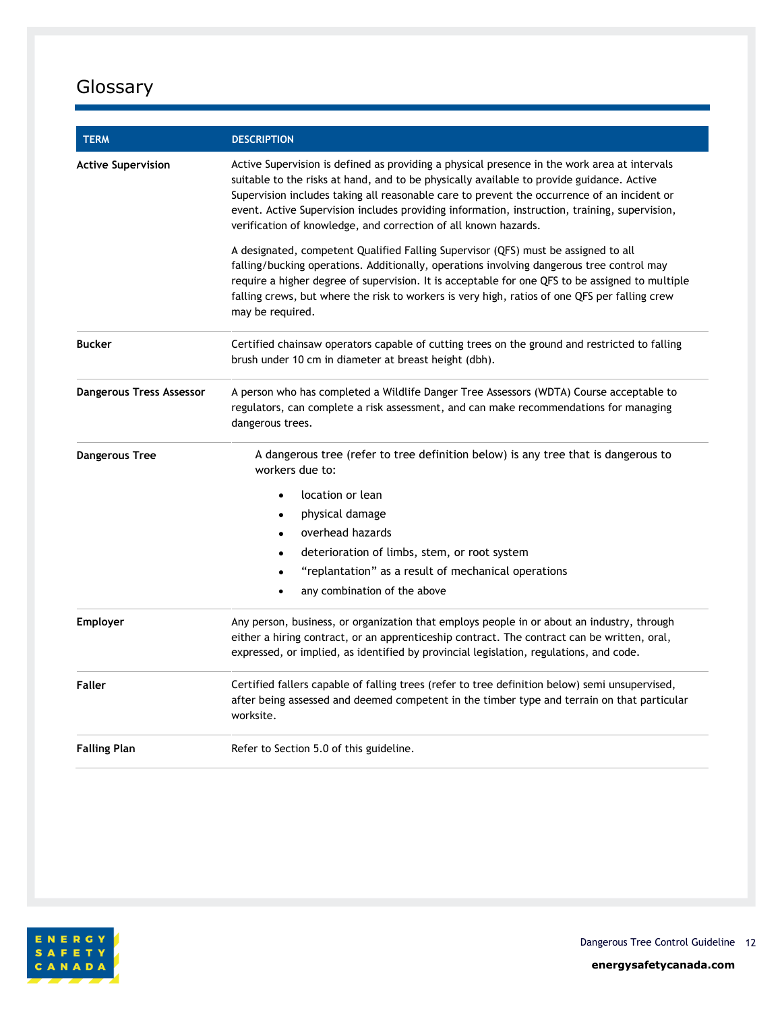## <span id="page-11-0"></span>Glossary

| <b>TERM</b>               | <b>DESCRIPTION</b>                                                                                                                                                                                                                                                                                                                                                                                                                                           |
|---------------------------|--------------------------------------------------------------------------------------------------------------------------------------------------------------------------------------------------------------------------------------------------------------------------------------------------------------------------------------------------------------------------------------------------------------------------------------------------------------|
| <b>Active Supervision</b> | Active Supervision is defined as providing a physical presence in the work area at intervals<br>suitable to the risks at hand, and to be physically available to provide guidance. Active<br>Supervision includes taking all reasonable care to prevent the occurrence of an incident or<br>event. Active Supervision includes providing information, instruction, training, supervision,<br>verification of knowledge, and correction of all known hazards. |
|                           | A designated, competent Qualified Falling Supervisor (QFS) must be assigned to all<br>falling/bucking operations. Additionally, operations involving dangerous tree control may<br>require a higher degree of supervision. It is acceptable for one QFS to be assigned to multiple<br>falling crews, but where the risk to workers is very high, ratios of one QFS per falling crew<br>may be required.                                                      |
| <b>Bucker</b>             | Certified chainsaw operators capable of cutting trees on the ground and restricted to falling<br>brush under 10 cm in diameter at breast height (dbh).                                                                                                                                                                                                                                                                                                       |
| Dangerous Tress Assessor  | A person who has completed a Wildlife Danger Tree Assessors (WDTA) Course acceptable to<br>regulators, can complete a risk assessment, and can make recommendations for managing<br>dangerous trees.                                                                                                                                                                                                                                                         |
| <b>Dangerous Tree</b>     | A dangerous tree (refer to tree definition below) is any tree that is dangerous to<br>workers due to:                                                                                                                                                                                                                                                                                                                                                        |
|                           | location or lean                                                                                                                                                                                                                                                                                                                                                                                                                                             |
|                           | physical damage                                                                                                                                                                                                                                                                                                                                                                                                                                              |
|                           | overhead hazards                                                                                                                                                                                                                                                                                                                                                                                                                                             |
|                           | deterioration of limbs, stem, or root system<br>$\bullet$                                                                                                                                                                                                                                                                                                                                                                                                    |
|                           | "replantation" as a result of mechanical operations<br>$\bullet$                                                                                                                                                                                                                                                                                                                                                                                             |
|                           | any combination of the above                                                                                                                                                                                                                                                                                                                                                                                                                                 |
| <b>Employer</b>           | Any person, business, or organization that employs people in or about an industry, through<br>either a hiring contract, or an apprenticeship contract. The contract can be written, oral,<br>expressed, or implied, as identified by provincial legislation, regulations, and code.                                                                                                                                                                          |
| Faller                    | Certified fallers capable of falling trees (refer to tree definition below) semi unsupervised,<br>after being assessed and deemed competent in the timber type and terrain on that particular<br>worksite.                                                                                                                                                                                                                                                   |
| <b>Falling Plan</b>       | Refer to Section 5.0 of this guideline.                                                                                                                                                                                                                                                                                                                                                                                                                      |



Dangerous Tree Control Guideline 12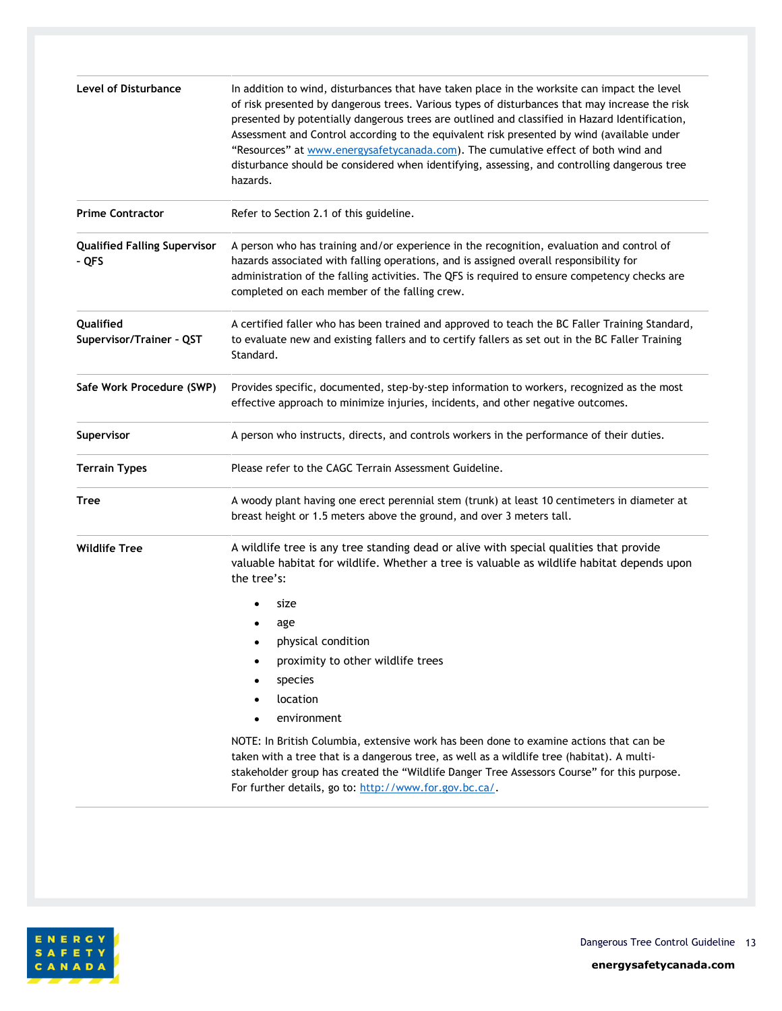| Level of Disturbance                         | In addition to wind, disturbances that have taken place in the worksite can impact the level<br>of risk presented by dangerous trees. Various types of disturbances that may increase the risk<br>presented by potentially dangerous trees are outlined and classified in Hazard Identification,<br>Assessment and Control according to the equivalent risk presented by wind (available under<br>"Resources" at www.energysafetycanada.com). The cumulative effect of both wind and<br>disturbance should be considered when identifying, assessing, and controlling dangerous tree<br>hazards. |
|----------------------------------------------|--------------------------------------------------------------------------------------------------------------------------------------------------------------------------------------------------------------------------------------------------------------------------------------------------------------------------------------------------------------------------------------------------------------------------------------------------------------------------------------------------------------------------------------------------------------------------------------------------|
| <b>Prime Contractor</b>                      | Refer to Section 2.1 of this guideline.                                                                                                                                                                                                                                                                                                                                                                                                                                                                                                                                                          |
| <b>Qualified Falling Supervisor</b><br>- QFS | A person who has training and/or experience in the recognition, evaluation and control of<br>hazards associated with falling operations, and is assigned overall responsibility for<br>administration of the falling activities. The QFS is required to ensure competency checks are<br>completed on each member of the falling crew.                                                                                                                                                                                                                                                            |
| Qualified<br>Supervisor/Trainer - QST        | A certified faller who has been trained and approved to teach the BC Faller Training Standard,<br>to evaluate new and existing fallers and to certify fallers as set out in the BC Faller Training<br>Standard.                                                                                                                                                                                                                                                                                                                                                                                  |
| Safe Work Procedure (SWP)                    | Provides specific, documented, step-by-step information to workers, recognized as the most<br>effective approach to minimize injuries, incidents, and other negative outcomes.                                                                                                                                                                                                                                                                                                                                                                                                                   |
| Supervisor                                   | A person who instructs, directs, and controls workers in the performance of their duties.                                                                                                                                                                                                                                                                                                                                                                                                                                                                                                        |
| <b>Terrain Types</b>                         | Please refer to the CAGC Terrain Assessment Guideline.                                                                                                                                                                                                                                                                                                                                                                                                                                                                                                                                           |
| Tree                                         | A woody plant having one erect perennial stem (trunk) at least 10 centimeters in diameter at<br>breast height or 1.5 meters above the ground, and over 3 meters tall.                                                                                                                                                                                                                                                                                                                                                                                                                            |
| <b>Wildlife Tree</b>                         | A wildlife tree is any tree standing dead or alive with special qualities that provide<br>valuable habitat for wildlife. Whether a tree is valuable as wildlife habitat depends upon<br>the tree's:                                                                                                                                                                                                                                                                                                                                                                                              |
|                                              | size                                                                                                                                                                                                                                                                                                                                                                                                                                                                                                                                                                                             |
|                                              | age                                                                                                                                                                                                                                                                                                                                                                                                                                                                                                                                                                                              |
|                                              | physical condition                                                                                                                                                                                                                                                                                                                                                                                                                                                                                                                                                                               |
|                                              | proximity to other wildlife trees<br>$\bullet$                                                                                                                                                                                                                                                                                                                                                                                                                                                                                                                                                   |
|                                              | species                                                                                                                                                                                                                                                                                                                                                                                                                                                                                                                                                                                          |
|                                              | location                                                                                                                                                                                                                                                                                                                                                                                                                                                                                                                                                                                         |
|                                              | environment                                                                                                                                                                                                                                                                                                                                                                                                                                                                                                                                                                                      |
|                                              | NOTE: In British Columbia, extensive work has been done to examine actions that can be<br>taken with a tree that is a dangerous tree, as well as a wildlife tree (habitat). A multi-<br>stakeholder group has created the "Wildlife Danger Tree Assessors Course" for this purpose.<br>For further details, go to: http://www.for.gov.bc.ca/.                                                                                                                                                                                                                                                    |



Dangerous Tree Control Guideline 13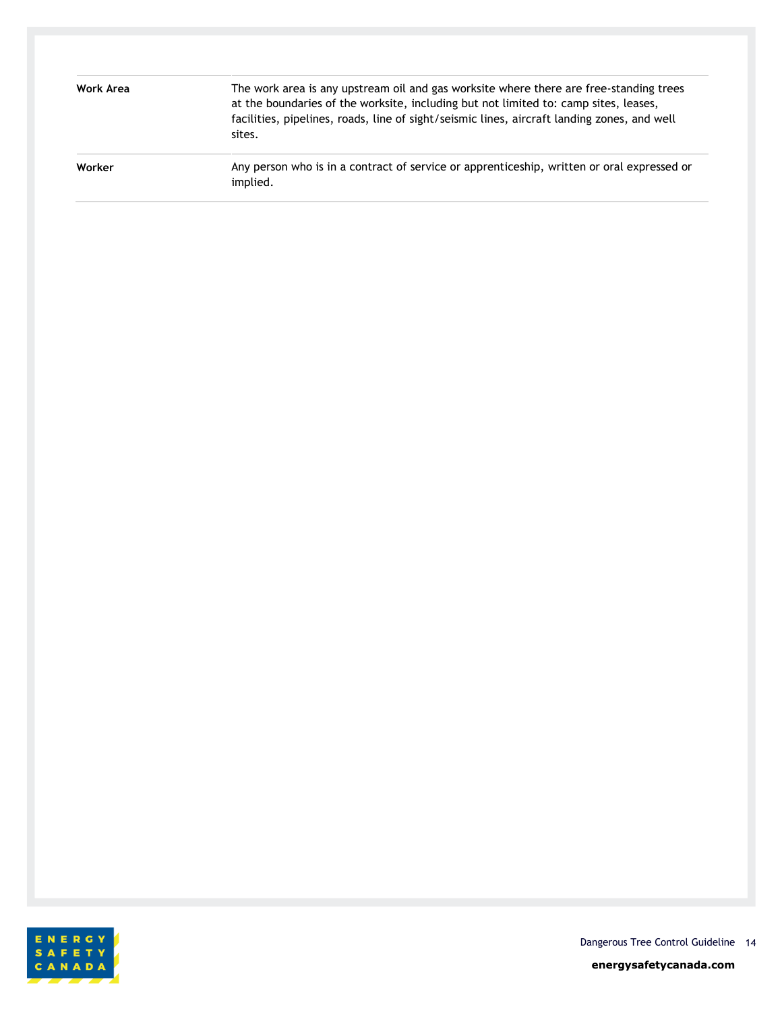| Work Area | The work area is any upstream oil and gas worksite where there are free-standing trees<br>at the boundaries of the worksite, including but not limited to: camp sites, leases,<br>facilities, pipelines, roads, line of sight/seismic lines, aircraft landing zones, and well<br>sites. |
|-----------|-----------------------------------------------------------------------------------------------------------------------------------------------------------------------------------------------------------------------------------------------------------------------------------------|
| Worker    | Any person who is in a contract of service or apprenticeship, written or oral expressed or<br>implied.                                                                                                                                                                                  |